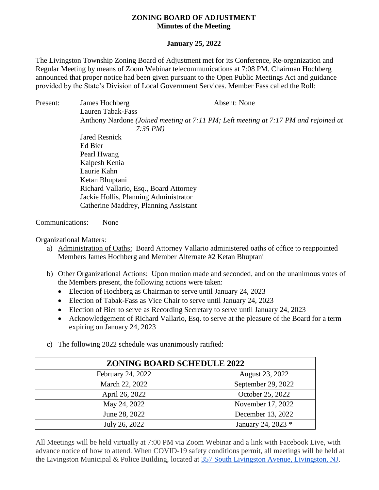## **ZONING BOARD OF ADJUSTMENT Minutes of the Meeting**

## **January 25, 2022**

The Livingston Township Zoning Board of Adjustment met for its Conference, Re-organization and Regular Meeting by means of Zoom Webinar telecommunications at 7:08 PM. Chairman Hochberg announced that proper notice had been given pursuant to the Open Public Meetings Act and guidance provided by the State's Division of Local Government Services. Member Fass called the Roll:

Present: James Hochberg Absent: None Lauren Tabak-Fass Anthony Nardone *(Joined meeting at 7:11 PM; Left meeting at 7:17 PM and rejoined at 7:35 PM)* Jared Resnick Ed Bier Pearl Hwang Kalpesh Kenia Laurie Kahn Ketan Bhuptani Richard Vallario, Esq., Board Attorney Jackie Hollis, Planning Administrator Catherine Maddrey, Planning Assistant Communications: None

Organizational Matters:

- a) Administration of Oaths: Board Attorney Vallario administered oaths of office to reappointed Members James Hochberg and Member Alternate #2 Ketan Bhuptani
- b) Other Organizational Actions: Upon motion made and seconded, and on the unanimous votes of the Members present, the following actions were taken:
	- Election of Hochberg as Chairman to serve until January 24, 2023
	- Election of Tabak-Fass as Vice Chair to serve until January 24, 2023
	- Election of Bier to serve as Recording Secretary to serve until January 24, 2023
	- Acknowledgement of Richard Vallario, Esq. to serve at the pleasure of the Board for a term expiring on January 24, 2023
- c) The following 2022 schedule was unanimously ratified:

| <b>ZONING BOARD SCHEDULE 2022</b> |                    |
|-----------------------------------|--------------------|
| February 24, 2022                 | August 23, 2022    |
| March 22, 2022                    | September 29, 2022 |
| April 26, 2022                    | October 25, 2022   |
| May 24, 2022                      | November 17, 2022  |
| June 28, 2022                     | December 13, 2022  |
| July 26, 2022                     | January 24, 2023 * |

All Meetings will be held virtually at 7:00 PM via Zoom Webinar and a link with Facebook Live, with advance notice of how to attend. When COVID-19 safety conditions permit, all meetings will be held at the Livingston Municipal & Police Building, located at [357 South Livingston Avenue, Livingston, NJ.](https://www.google.com/maps/search/357+South+Livingston+Avenue,+Livingston,+NJ?entry=gmail&source=g)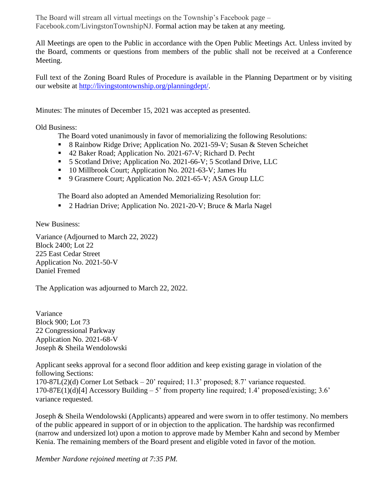The Board will stream all virtual meetings on the Township's Facebook page – Facebook.com/LivingstonTownshipNJ. Formal action may be taken at any meeting.

All Meetings are open to the Public in accordance with the Open Public Meetings Act. Unless invited by the Board, comments or questions from members of the public shall not be received at a Conference Meeting.

Full text of the Zoning Board Rules of Procedure is available in the Planning Department or by visiting our website at [http://livingstontownship.org/planningdept/.](http://livingstontownship.org/planningdept/)

Minutes: The minutes of December 15, 2021 was accepted as presented.

Old Business:

The Board voted unanimously in favor of memorializing the following Resolutions:

- 8 Rainbow Ridge Drive; Application No. 2021-59-V; Susan & Steven Scheichet
- 42 Baker Road; Application No. 2021-67-V; Richard D. Pecht
- 5 Scotland Drive; Application No. 2021-66-V; 5 Scotland Drive, LLC
- 10 Millbrook Court; Application No. 2021-63-V; James Hu
- 9 Grasmere Court; Application No. 2021-65-V; ASA Group LLC

The Board also adopted an Amended Memorializing Resolution for:

■ 2 Hadrian Drive; Application No. 2021-20-V; Bruce & Marla Nagel

New Business:

Variance (Adjourned to March 22, 2022) Block 2400; Lot 22 225 East Cedar Street Application No. 2021-50-V Daniel Fremed

The Application was adjourned to March 22, 2022.

Variance Block 900; Lot 73 22 Congressional Parkway Application No. 2021-68-V Joseph & Sheila Wendolowski

Applicant seeks approval for a second floor addition and keep existing garage in violation of the following Sections: 170-87L(2)(d) Corner Lot Setback – 20' required; 11.3' proposed; 8.7' variance requested. 170-87E(1)(d)[4] Accessory Building  $-5'$  from property line required; 1.4' proposed/existing; 3.6' variance requested.

Joseph & Sheila Wendolowski (Applicants) appeared and were sworn in to offer testimony. No members of the public appeared in support of or in objection to the application. The hardship was reconfirmed (narrow and undersized lot) upon a motion to approve made by Member Kahn and second by Member Kenia. The remaining members of the Board present and eligible voted in favor of the motion.

*Member Nardone rejoined meeting at 7:35 PM.*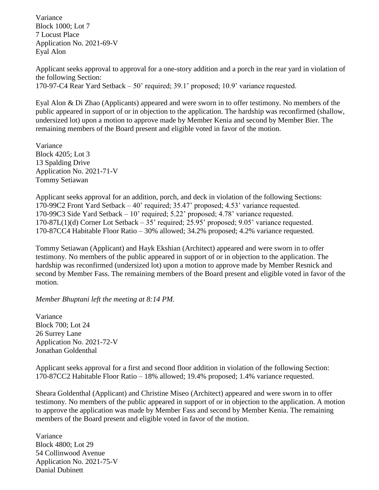Variance Block 1000; Lot 7 7 Locust Place Application No. 2021-69-V Eyal Alon

Applicant seeks approval to approval for a one-story addition and a porch in the rear yard in violation of the following Section: 170-97-C4 Rear Yard Setback – 50' required; 39.1' proposed; 10.9' variance requested.

Eyal Alon & Di Zhao (Applicants) appeared and were sworn in to offer testimony. No members of the public appeared in support of or in objection to the application. The hardship was reconfirmed (shallow, undersized lot) upon a motion to approve made by Member Kenia and second by Member Bier. The remaining members of the Board present and eligible voted in favor of the motion.

Variance Block 4205; Lot 3 13 Spalding Drive Application No. 2021-71-V Tommy Setiawan

Applicant seeks approval for an addition, porch, and deck in violation of the following Sections: 170-99C2 Front Yard Setback – 40' required; 35.47' proposed; 4.53' variance requested. 170-99C3 Side Yard Setback – 10' required; 5.22' proposed; 4.78' variance requested. 170-87L(1)(d) Corner Lot Setback – 35' required; 25.95' proposed; 9.05' variance requested. 170-87CC4 Habitable Floor Ratio – 30% allowed; 34.2% proposed; 4.2% variance requested.

Tommy Setiawan (Applicant) and Hayk Ekshian (Architect) appeared and were sworn in to offer testimony. No members of the public appeared in support of or in objection to the application. The hardship was reconfirmed (undersized lot) upon a motion to approve made by Member Resnick and second by Member Fass. The remaining members of the Board present and eligible voted in favor of the motion.

*Member Bhuptani left the meeting at 8:14 PM.*

Variance Block 700; Lot 24 26 Surrey Lane Application No. 2021-72-V Jonathan Goldenthal

Applicant seeks approval for a first and second floor addition in violation of the following Section: 170-87CC2 Habitable Floor Ratio – 18% allowed; 19.4% proposed; 1.4% variance requested.

Sheara Goldenthal (Applicant) and Christine Miseo (Architect) appeared and were sworn in to offer testimony. No members of the public appeared in support of or in objection to the application. A motion to approve the application was made by Member Fass and second by Member Kenia. The remaining members of the Board present and eligible voted in favor of the motion.

Variance Block 4800; Lot 29 54 Collinwood Avenue Application No. 2021-75-V Danial Dubinett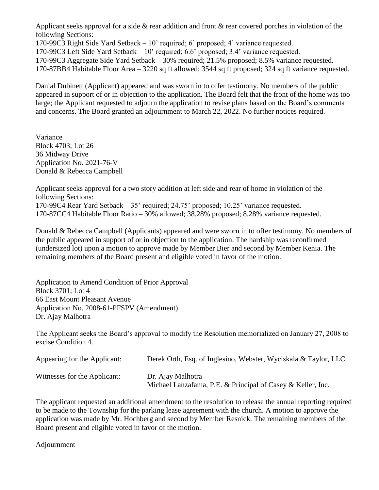Applicant seeks approval for a side & rear addition and front & rear covered porches in violation of the following Sections:

170-99C3 Right Side Yard Setback – 10' required; 6' proposed; 4' variance requested.

170-99C3 Left Side Yard Setback – 10' required; 6.6' proposed; 3.4' variance requested.

170-99C3 Aggregate Side Yard Setback – 30% required; 21.5% proposed; 8.5% variance requested.

170-87BB4 Habitable Floor Area – 3220 sq ft allowed; 3544 sq ft proposed; 324 sq ft variance requested.

Danial Dubinett (Applicant) appeared and was sworn in to offer testimony. No members of the public appeared in support of or in objection to the application. The Board felt that the front of the home was too large; the Applicant requested to adjourn the application to revise plans based on the Board's comments and concerns. The Board granted an adjournment to March 22, 2022. No further notices required.

Variance Block 4703; Lot 26 36 Midway Drive Application No. 2021-76-V Donald & Rebecca Campbell

Applicant seeks approval for a two story addition at left side and rear of home in violation of the following Sections: 170-99C4 Rear Yard Setback – 35' required; 24.75' proposed; 10.25' variance requested. 170-87CC4 Habitable Floor Ratio – 30% allowed; 38.28% proposed; 8.28% variance requested.

Donald & Rebecca Campbell (Applicants) appeared and were sworn in to offer testimony. No members of the public appeared in support of or in objection to the application. The hardship was reconfirmed (undersized lot) upon a motion to approve made by Member Bier and second by Member Kenia. The remaining members of the Board present and eligible voted in favor of the motion.

Application to Amend Condition of Prior Approval Block 3701; Lot 4 66 East Mount Pleasant Avenue Application No. 2008-61-PFSPV (Amendment) Dr. Ajay Malhotra

The Applicant seeks the Board's approval to modify the Resolution memorialized on January 27, 2008 to excise Condition 4.

| Appearing for the Applicant: | Derek Orth, Esq. of Inglesino, Webster, Wyciskala & Taylor, LLC                  |
|------------------------------|----------------------------------------------------------------------------------|
| Witnesses for the Applicant: | Dr. Ajay Malhotra<br>Michael Lanzafama, P.E. & Principal of Casey & Keller, Inc. |

The applicant requested an additional amendment to the resolution to release the annual reporting required to be made to the Township for the parking lease agreement with the church. A motion to approve the application was made by Mr. Hochberg and second by Member Resnick. The remaining members of the Board present and eligible voted in favor of the motion.

Adjournment